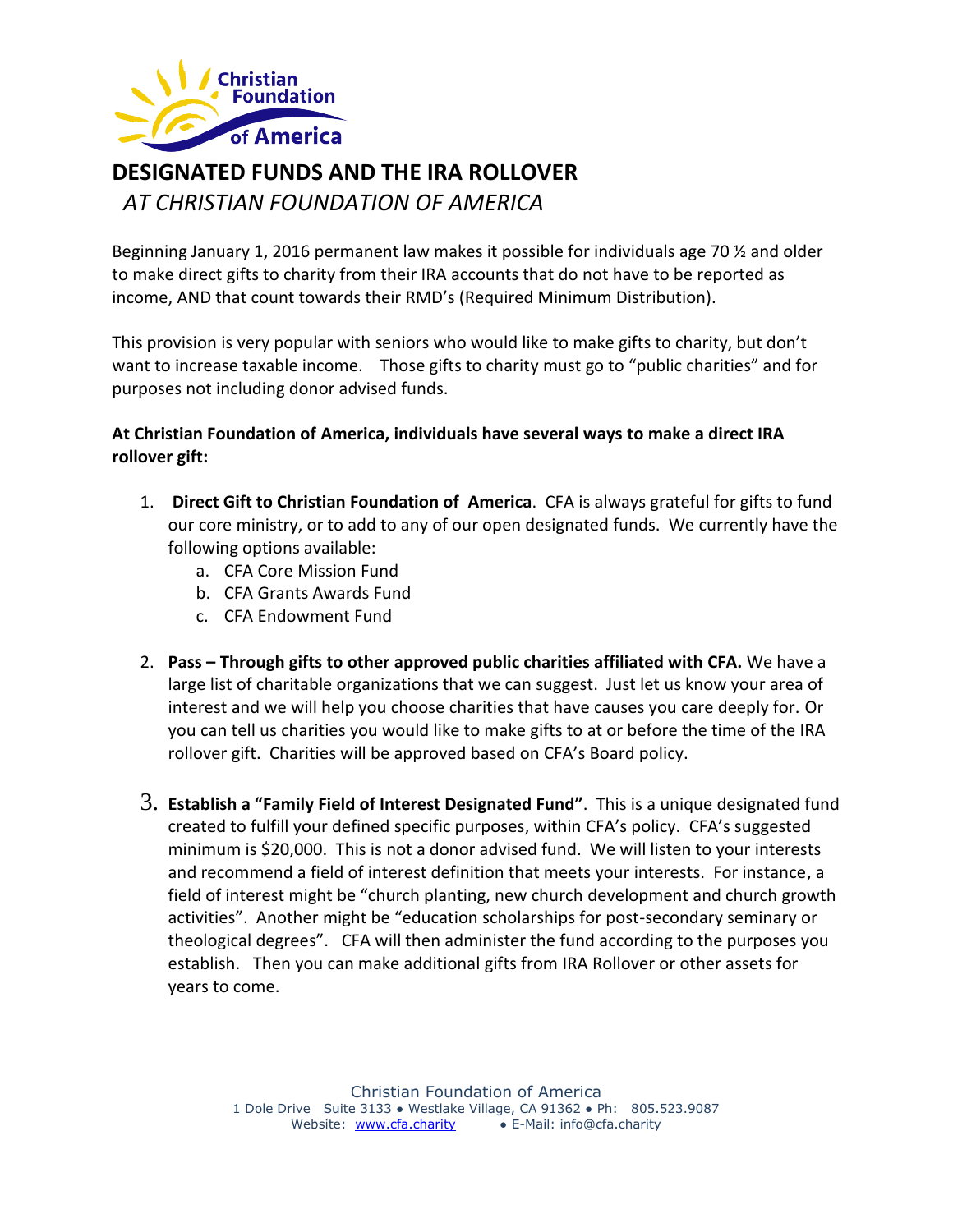

# **DESIGNATED FUNDS AND THE IRA ROLLOVER**

*AT CHRISTIAN FOUNDATION OF AMERICA*

Beginning January 1, 2016 permanent law makes it possible for individuals age 70 ½ and older to make direct gifts to charity from their IRA accounts that do not have to be reported as income, AND that count towards their RMD's (Required Minimum Distribution).

This provision is very popular with seniors who would like to make gifts to charity, but don't want to increase taxable income. Those gifts to charity must go to "public charities" and for purposes not including donor advised funds.

### **At Christian Foundation of America, individuals have several ways to make a direct IRA rollover gift:**

- 1. **Direct Gift to Christian Foundation of America**. CFA is always grateful for gifts to fund our core ministry, or to add to any of our open designated funds. We currently have the following options available:
	- a. CFA Core Mission Fund
	- b. CFA Grants Awards Fund
	- c. CFA Endowment Fund
- 2. **Pass – Through gifts to other approved public charities affiliated with CFA.** We have a large list of charitable organizations that we can suggest. Just let us know your area of interest and we will help you choose charities that have causes you care deeply for. Or you can tell us charities you would like to make gifts to at or before the time of the IRA rollover gift. Charities will be approved based on CFA's Board policy.
- 3. **Establish a "Family Field of Interest Designated Fund"**. This is a unique designated fund created to fulfill your defined specific purposes, within CFA's policy. CFA's suggested minimum is \$20,000. This is not a donor advised fund. We will listen to your interests and recommend a field of interest definition that meets your interests. For instance, a field of interest might be "church planting, new church development and church growth activities". Another might be "education scholarships for post-secondary seminary or theological degrees". CFA will then administer the fund according to the purposes you establish. Then you can make additional gifts from IRA Rollover or other assets for years to come.